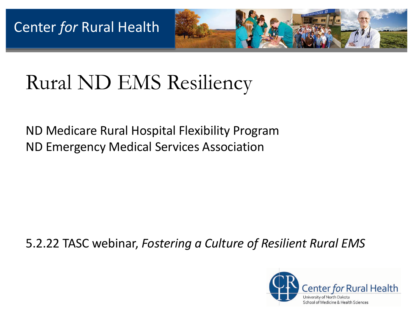

# Rural ND EMS Resiliency

ND Medicare Rural Hospital Flexibility Program ND Emergency Medical Services Association

#### 5.2.22 TASC webinar, *Fostering a Culture of Resilient Rural EMS*

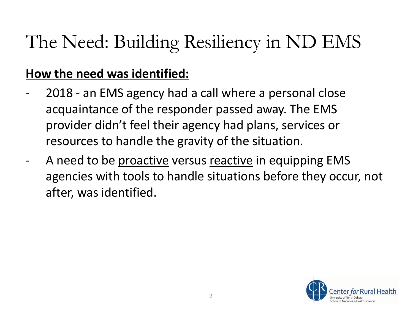## The Need: Building Resiliency in ND EMS

#### **How the need was identified:**

- 2018 an EMS agency had a call where a personal close acquaintance of the responder passed away. The EMS provider didn't feel their agency had plans, services or resources to handle the gravity of the situation.
- A need to be proactive versus reactive in equipping EMS agencies with tools to handle situations before they occur, not after, was identified.

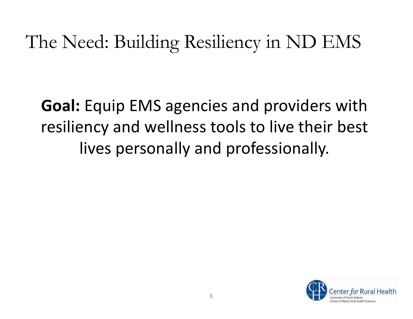### The Need: Building Resiliency in ND EMS

**Goal:** Equip EMS agencies and providers with resiliency and wellness tools to live their best lives personally and professionally.

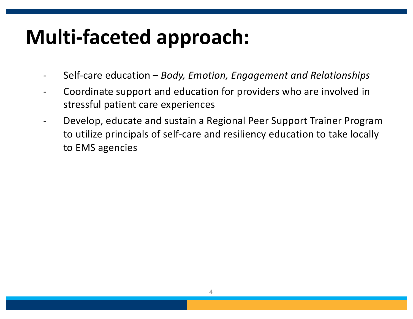# **Multi-faceted approach:**

- Self-care education *Body, Emotion, Engagement and Relationships*
- Coordinate support and education for providers who are involved in stressful patient care experiences
- Develop, educate and sustain a Regional Peer Support Trainer Program to utilize principals of self-care and resiliency education to take locally to EMS agencies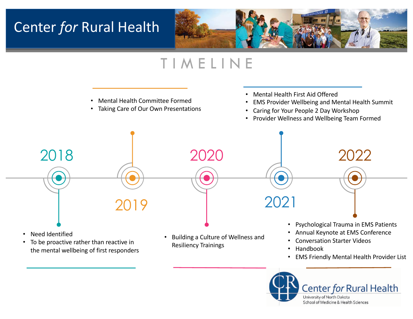### **Center for Rural Health**



### T I M E L I N E





Center for Rural Health University of North Dakota School of Medicine & Health Sciences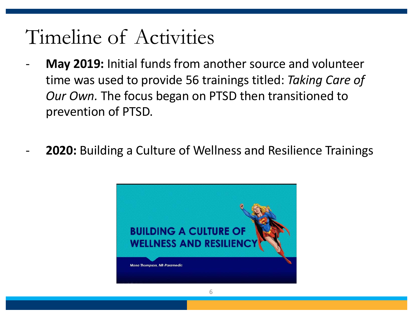## Timeline of Activities

- **May 2019:** Initial funds from another source and volunteer time was used to provide 56 trainings titled: *Taking Care of Our Own.* The focus began on PTSD then transitioned to prevention of PTSD.
- **2020:** Building a Culture of Wellness and Resilience Trainings

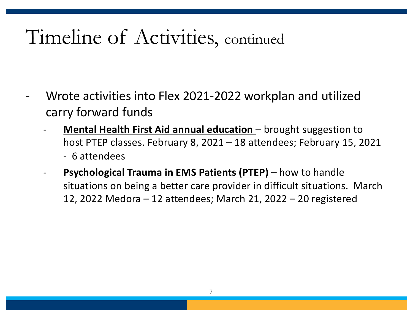## Timeline of Activities, continued

- Wrote activities into Flex 2021-2022 workplan and utilized carry forward funds
	- **Mental Health First Aid annual education** brought suggestion to host PTEP classes. February 8, 2021 – 18 attendees; February 15, 2021 - 6 attendees
	- **Psychological Trauma in EMS Patients (PTEP)** how to handle situations on being a better care provider in difficult situations. March 12, 2022 Medora – 12 attendees; March 21, 2022 – 20 registered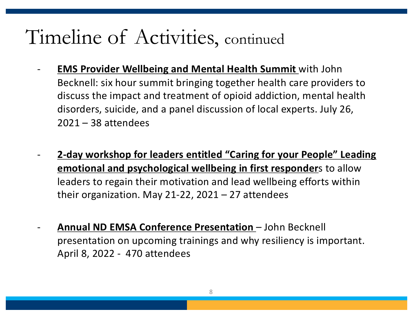## Timeline of Activities, continued

- **EMS Provider Wellbeing and Mental Health Summit** with John Becknell: six hour summit bringing together health care providers to discuss the impact and treatment of opioid addiction, mental health disorders, suicide, and a panel discussion of local experts. July 26, 2021 – 38 attendees
	- **2-day workshop for leaders entitled "Caring for your People" Leading emotional and psychological wellbeing in first responder**s to allow leaders to regain their motivation and lead wellbeing efforts within their organization. May 21-22,  $2021 - 27$  attendees
- **Annual ND EMSA Conference Presentation**  John Becknell presentation on upcoming trainings and why resiliency is important. April 8, 2022 - 470 attendees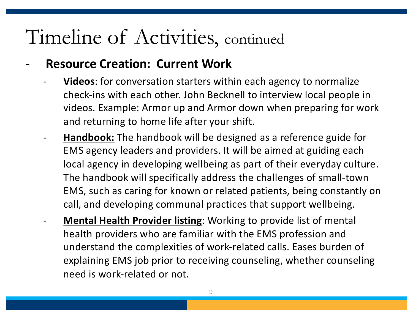## Timeline of Activities, continued

#### **Resource Creation: Current Work**

- **Videos**: for conversation starters within each agency to normalize check-ins with each other. John Becknell to interview local people in videos. Example: Armor up and Armor down when preparing for work and returning to home life after your shift.
- **Handbook:** The handbook will be designed as a reference guide for EMS agency leaders and providers. It will be aimed at guiding each local agency in developing wellbeing as part of their everyday culture. The handbook will specifically address the challenges of small-town EMS, such as caring for known or related patients, being constantly on call, and developing communal practices that support wellbeing.
- **Mental Health Provider listing:** Working to provide list of mental health providers who are familiar with the EMS profession and understand the complexities of work-related calls. Eases burden of explaining EMS job prior to receiving counseling, whether counseling need is work-related or not.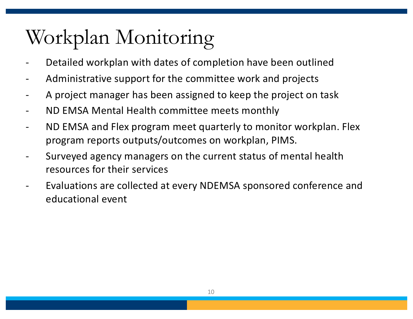# Workplan Monitoring

- Detailed workplan with dates of completion have been outlined
- Administrative support for the committee work and projects
- A project manager has been assigned to keep the project on task
- ND EMSA Mental Health committee meets monthly
- ND EMSA and Flex program meet quarterly to monitor workplan. Flex program reports outputs/outcomes on workplan, PIMS.
- Surveyed agency managers on the current status of mental health resources for their services
	- Evaluations are collected at every NDEMSA sponsored conference and educational event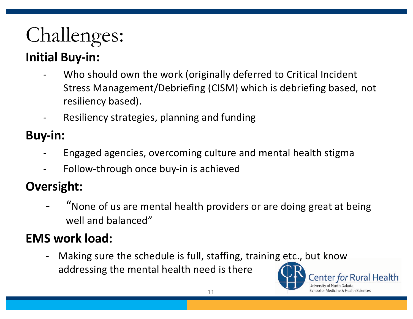# Challenges:

### **Initial Buy-in:**

- Who should own the work (originally deferred to Critical Incident Stress Management/Debriefing (CISM) which is debriefing based, not resiliency based).
- Resiliency strategies, planning and funding

#### **Buy-in:**

- Engaged agencies, overcoming culture and mental health stigma
- Follow-through once buy-in is achieved

### **Oversight:**

"None of us are mental health providers or are doing great at being well and balanced"

### **EMS work load:**

- Making sure the schedule is full, staffing, training etc., but know addressing the mental health need is there

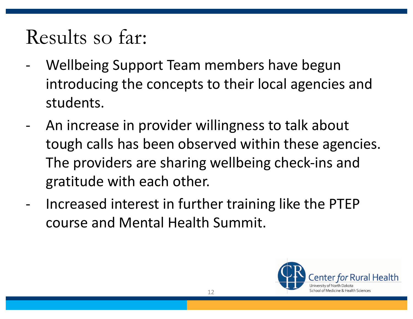## Results so far:

- Wellbeing Support Team members have begun introducing the concepts to their local agencies and students.
- An increase in provider willingness to talk about tough calls has been observed within these agencies. The providers are sharing wellbeing check-ins and gratitude with each other.
- Increased interest in further training like the PTEP course and Mental Health Summit.